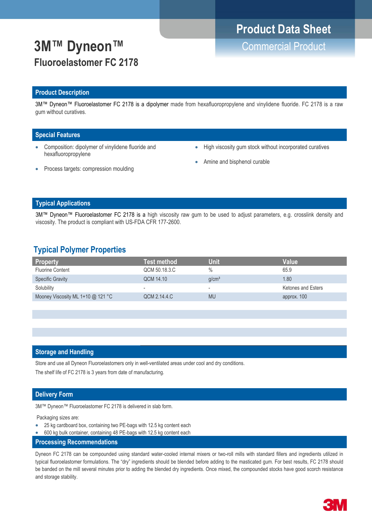# **3M™ Dyneon™** Commercial Product **Fluoroelastomer FC 2178**

# **Product Data Sheet**

### **Product Description**

3M™ Dyneon™ Fluoroelastomer FC 2178 is a dipolymer made from hexafluoropropylene and vinylidene fluoride. FC 2178 is a raw gum without curatives.

### **Special Features**

- Composition: dipolymer of vinylidene fluoride and hexafluoropropylene
- High viscosity gum stock without incorporated curatives
- Amine and bisphenol curable

Process targets: compression moulding

### **Typical Applications**

3M™ Dyneon™ Fluoroelastomer FC 2178 is a high viscosity raw gum to be used to adjust parameters, e.g. crosslink density and viscosity. The product is compliant with US-FDA CFR 177-2600.

### **Typical Polymer Properties**

| <b>Property</b>                     | Test method              | Unit                     | Value              |
|-------------------------------------|--------------------------|--------------------------|--------------------|
| Fluorine Content                    | QCM 50.18.3.C            | $\%$                     | 65.9               |
| <b>Specific Gravity</b>             | QCM 14.10                | q/cm <sup>3</sup>        | 1.80               |
| Solubility                          | $\overline{\phantom{a}}$ | $\overline{\phantom{a}}$ | Ketones and Esters |
| Mooney Viscosity ML 1+10 $@$ 121 °C | QCM 2.14.4.C             | <b>MU</b>                | approx. 100        |
|                                     |                          |                          |                    |

### **Storage and Handling**

Store and use all Dyneon Fluoroelastomers only in well-ventilated areas under cool and dry conditions.

The shelf life of FC 2178 is 3 years from date of manufacturing.

### **Delivery Form**

3M™ Dyneon™ Fluoroelastomer FC 2178 is delivered in slab form.

Packaging sizes are:

- 25 kg cardboard box, containing two PE-bags with 12.5 kg content each
- 600 kg bulk container, containing 48 PE-bags with 12.5 kg content each
- **Processing Recommendations**

Dyneon FC 2178 can be compounded using standard water-cooled internal mixers or two-roll mills with standard fillers and ingredients utilized in typical fluoroelastomer formulations. The "dry" ingredients should be blended before adding to the masticated gum. For best results, FC 2178 should be banded on the mill several minutes prior to adding the blended dry ingredients. Once mixed, the compounded stocks have good scorch resistance and storage stability.

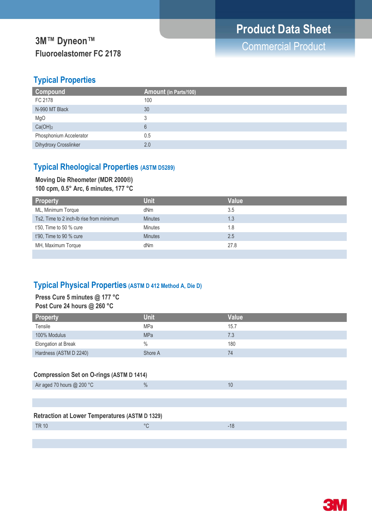# **3M™ Dyneon™**<br>
The Commercial Product **Fluoroelastomer FC 2178**

### **Typical Properties**

| Compound                | Amount (in Parts/100) |
|-------------------------|-----------------------|
| FC 2178                 | 100                   |
| N-990 MT Black          | 30                    |
| MgO                     |                       |
| Ca(OH) <sub>2</sub>     | 6                     |
| Phosphonium Accelerator | 0.5                   |
| Dihydroxy Crosslinker   | 2.0                   |

### **Typical Rheological Properties (ASTM D5289)**

### **Moving Die Rheometer (MDR 2000®) 100 cpm, 0.5° Arc, 6 minutes, 177 °C**

|  |  | $100$ Cpm, 0.3 Arc, 0 minutes, 177 G |  |  |
|--|--|--------------------------------------|--|--|
|  |  |                                      |  |  |

| Property                                 | <b>Unit</b>    | Value |
|------------------------------------------|----------------|-------|
| ML, Minimum Torque                       | dNm            | 3.5   |
| Ts2, Time to 2 inch-Ib rise from minimum | <b>Minutes</b> | 1.3   |
| $t'50$ , Time to 50 % cure               | <b>Minutes</b> | 1.8   |
| t'90, Time to 90 % cure                  | <b>Minutes</b> | 2.5   |
| MH, Maximum Torque                       | dNm            | 27.8  |
|                                          |                |       |

### **Typical Physical Properties (ASTM D 412 Method A, Die D)**

### **Press Cure 5 minutes @ 177 °C Post Cure 24 hours @ 260 °C**

| <b>Property</b>        | <b>Unit</b> | Value |
|------------------------|-------------|-------|
| Tensile                | MPa         | 15.7  |
| 100% Modulus           | <b>MPa</b>  | 7.3   |
| Elongation at Break    | $\%$        | 180   |
| Hardness (ASTM D 2240) | Shore A     | 74    |

### **Compression Set on O-rings (ASTM D 1414)**

| Air aged 70 hours $@$ 200 °C                          | $\frac{0}{0}$ | 10    |  |  |
|-------------------------------------------------------|---------------|-------|--|--|
|                                                       |               |       |  |  |
|                                                       |               |       |  |  |
| <b>Retraction at Lower Temperatures (ASTM D 1329)</b> |               |       |  |  |
| <b>TR 10</b>                                          | °C            | $-18$ |  |  |
|                                                       |               |       |  |  |